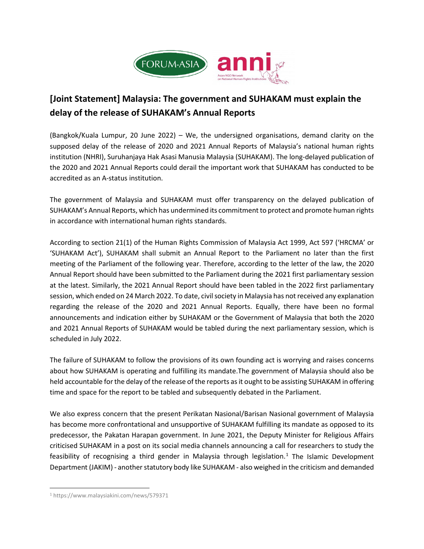

# <span id="page-0-0"></span>**[Joint Statement] Malaysia: The government and SUHAKAM must explain the delay of the release of SUHAKAM's Annual Reports**

(Bangkok/Kuala Lumpur, 20 June 2022) – We, the undersigned organisations, demand clarity on the supposed delay of the release of 2020 and 2021 Annual Reports of Malaysia's national human rights institution (NHRI), Suruhanjaya Hak Asasi Manusia Malaysia (SUHAKAM). The long-delayed publication of the 2020 and 2021 Annual Reports could derail the important work that SUHAKAM has conducted to be accredited as an A-status institution.

The government of Malaysia and SUHAKAM must offer transparency on the delayed publication of SUHAKAM's Annual Reports, which has undermined its commitment to protect and promote human rights in accordance with international human rights standards.

According to section 21(1) of the Human Rights Commission of Malaysia Act 1999, Act 597 ('HRCMA' or 'SUHAKAM Act'), SUHAKAM shall submit an Annual Report to the Parliament no later than the first meeting of the Parliament of the following year. Therefore, according to the letter of the law, the 2020 Annual Report should have been submitted to the Parliament during the 2021 first parliamentary session at the latest. Similarly, the 2021 Annual Report should have been tabled in the 2022 first parliamentary session, which ended on 24 March 2022. To date, civil society in Malaysia has not received any explanation regarding the release of the 2020 and 2021 Annual Reports. Equally, there have been no formal announcements and indication either by SUHAKAM or the Government of Malaysia that both the 2020 and 2021 Annual Reports of SUHAKAM would be tabled during the next parliamentary session, which is scheduled in July 2022.

The failure of SUHAKAM to follow the provisions of its own founding act is worrying and raises concerns about how SUHAKAM is operating and fulfilling its mandate.The government of Malaysia should also be held accountable for the delay of the release of the reports as it ought to be assisting SUHAKAM in offering time and space for the report to be tabled and subsequently debated in the Parliament.

We also express concern that the present Perikatan Nasional/Barisan Nasional government of Malaysia has become more confrontational and unsupportive of SUHAKAM fulfilling its mandate as opposed to its predecessor, the Pakatan Harapan government. In June 2021, the Deputy Minister for Religious Affairs criticised SUHAKAM in a post on its social media channels announcing a call for researchers to study the feasibility of recognising a third gender in Malaysia through legislation.<sup>[1](#page-0-0)</sup> The Islamic Development Department (JAKIM) - another statutory body like SUHAKAM - also weighed in the criticism and demanded

<sup>1</sup> https://www.malaysiakini.com/news/579371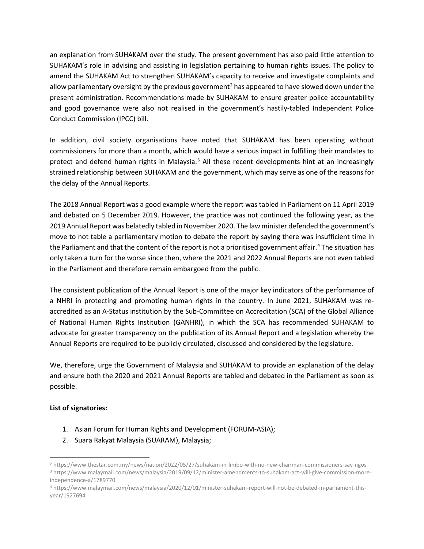an explanation from SUHAKAM over the study. The present government has also paid little attention to SUHAKAM's role in advising and assisting in legislation pertaining to human rights issues. The policy to amend the SUHAKAM Act to strengthen SUHAKAM's capacity to receive and investigate complaints and allow parliamentary oversight by the previous government<sup>2</sup> has appeared to have slowed down under the present administration. Recommendations made by SUHAKAM to ensure greater police accountability and good governance were also not realised in the government's hastily-tabled Independent Police Conduct Commission (IPCC) bill.

In addition, civil society organisations have noted that SUHAKAM has been operating without commissioners for more than a month, which would have a serious impact in fulfilling their mandates to protect and defend human rights in Malaysia. $3$  All these recent developments hint at an increasingly strained relationship between SUHAKAM and the government, which may serve as one of the reasons for the delay of the Annual Reports.

The 2018 Annual Report was a good example where the report was tabled in Parliament on 11 April 2019 and debated on 5 December 2019. However, the practice was not continued the following year, as the 2019 Annual Report was belatedly tabled in November 2020. The law minister defended the government's move to not table a parliamentary motion to debate the report by saying there was insufficient time in the Parliament and that the content of the report is not a prioritised government affair.<sup>[4](#page-1-2)</sup> The situation has only taken a turn for the worse since then, where the 2021 and 2022 Annual Reports are not even tabled in the Parliament and therefore remain embargoed from the public.

The consistent publication of the Annual Report is one of the major key indicators of the performance of a NHRI in protecting and promoting human rights in the country. In June 2021, SUHAKAM was reaccredited as an A-Status institution by the Sub-Committee on Accreditation (SCA) of the Global Alliance of National Human Rights Institution (GANHRI), in which the SCA has recommended SUHAKAM to advocate for greater transparency on the publication of its Annual Report and a legislation whereby the Annual Reports are required to be publicly circulated, discussed and considered by the legislature.

We, therefore, urge the Government of Malaysia and SUHAKAM to provide an explanation of the delay and ensure both the 2020 and 2021 Annual Reports are tabled and debated in the Parliament as soon as possible.

## **List of signatories:**

- 1. Asian Forum for Human Rights and Development (FORUM-ASIA);
- 2. Suara Rakyat Malaysia (SUARAM), Malaysia;

<span id="page-1-1"></span><span id="page-1-0"></span><sup>2</sup> <https://www.thestar.com.my/news/nation/2022/05/27/suhakam-in-limbo-with-no-new-chairman-commissioners-say-ngos> <sup>3</sup> [https://www.malaymail.com/news/malaysia/2019/09/12/minister-amendments-to-suhakam-act-will-give-commission-more](https://www.malaymail.com/news/malaysia/2019/09/12/minister-amendments-to-suhakam-act-will-give-commission-more-independence-a/1789770)[independence-a/1789770](https://www.malaymail.com/news/malaysia/2019/09/12/minister-amendments-to-suhakam-act-will-give-commission-more-independence-a/1789770)

<span id="page-1-2"></span><sup>4</sup> https://www.malaymail.com/news/malaysia/2020/12/01/minister-suhakam-report-will-not-be-debated-in-parliament-thisyear/1927694